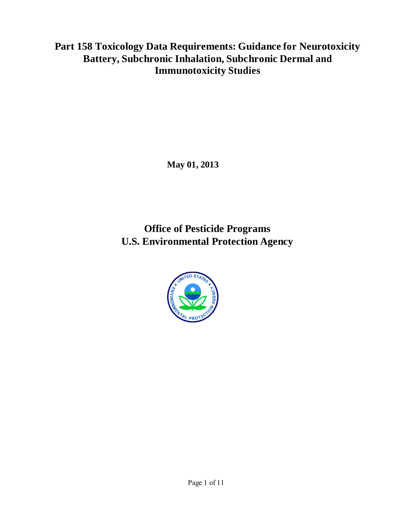**Part 158 Toxicology Data Requirements: Guidance for Neurotoxicity Battery, Subchronic Inhalation, Subchronic Dermal and Immunotoxicity Studies**

**May 01, 2013**

**Office of Pesticide Programs U.S. Environmental Protection Agency** 

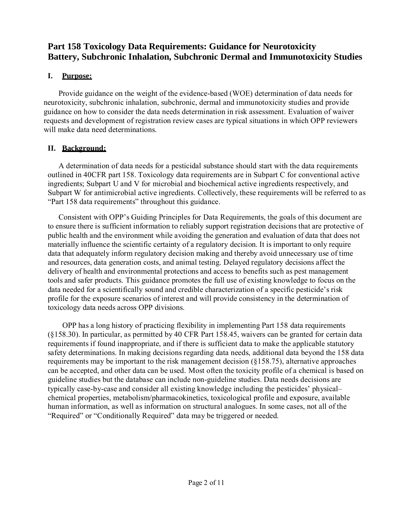# **Part 158 Toxicology Data Requirements: Guidance for Neurotoxicity Battery, Subchronic Inhalation, Subchronic Dermal and Immunotoxicity Studies**

# **I. Purpose:**

Provide guidance on the weight of the evidence-based (WOE) determination of data needs for neurotoxicity, subchronic inhalation, subchronic, dermal and immunotoxicity studies and provide guidance on how to consider the data needs determination in risk assessment. Evaluation of waiver requests and development of registration review cases are typical situations in which OPP reviewers will make data need determinations.

# **II. Background:**

A determination of data needs for a pesticidal substance should start with the data requirements outlined in 40CFR part 158. Toxicology data requirements are in Subpart C for conventional active ingredients; Subpart U and V for microbial and biochemical active ingredients respectively, and Subpart W for antimicrobial active ingredients. Collectively, these requirements will be referred to as "Part 158 data requirements" throughout this guidance.

Consistent with OPP's Guiding Principles for Data Requirements, the goals of this document are to ensure there is sufficient information to reliably support registration decisions that are protective of public health and the environment while avoiding the generation and evaluation of data that does not materially influence the scientific certainty of a regulatory decision. It is important to only require data that adequately inform regulatory decision making and thereby avoid unnecessary use of time and resources, data generation costs, and animal testing. Delayed regulatory decisions affect the delivery of health and environmental protections and access to benefits such as pest management tools and safer products. This guidance promotes the full use of existing knowledge to focus on the data needed for a scientifically sound and credible characterization of a specific pesticide's risk profile for the exposure scenarios of interest and will provide consistency in the determination of toxicology data needs across OPP divisions.

OPP has a long history of practicing flexibility in implementing Part 158 data requirements (§158.30). In particular, as permitted by 40 CFR Part 158.45, waivers can be granted for certain data requirements if found inappropriate, and if there is sufficient data to make the applicable statutory safety determinations. In making decisions regarding data needs, additional data beyond the 158 data requirements may be important to the risk management decision (§158.75), alternative approaches can be accepted, and other data can be used. Most often the toxicity profile of a chemical is based on guideline studies but the database can include non-guideline studies. Data needs decisions are typically case-by-case and consider all existing knowledge including the pesticides' physical– chemical properties, metabolism/pharmacokinetics, toxicological profile and exposure, available human information, as well as information on structural analogues. In some cases, not all of the "Required" or "Conditionally Required" data may be triggered or needed.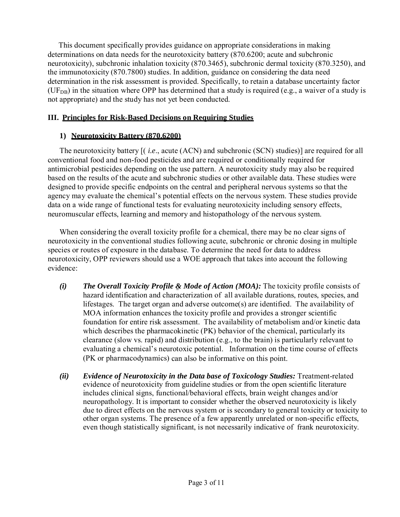This document specifically provides guidance on appropriate considerations in making determinations on data needs for the neurotoxicity battery (870.6200; acute and subchronic neurotoxicity), subchronic inhalation toxicity (870.3465), subchronic dermal toxicity (870.3250), and the immunotoxicity (870.7800) studies. In addition, guidance on considering the data need determination in the risk assessment is provided. Specifically, to retain a database uncertainty factor (UF<sub>DB</sub>) in the situation where OPP has determined that a study is required (e.g., a waiver of a study is not appropriate) and the study has not yet been conducted.

# **III. Principles for Risk-Based Decisions on Requiring Studies**

## **1) Neurotoxicity Battery (870.6200)**

The neurotoxicity battery [( *i.e*., acute (ACN) and subchronic (SCN) studies)] are required for all conventional food and non-food pesticides and are required or conditionally required for antimicrobial pesticides depending on the use pattern. A neurotoxicity study may also be required based on the results of the acute and subchronic studies or other available data. These studies were designed to provide specific endpoints on the central and peripheral nervous systems so that the agency may evaluate the chemical's potential effects on the nervous system. These studies provide data on a wide range of functional tests for evaluating neurotoxicity including sensory effects, neuromuscular effects, learning and memory and histopathology of the nervous system.

When considering the overall toxicity profile for a chemical, there may be no clear signs of neurotoxicity in the conventional studies following acute, subchronic or chronic dosing in multiple species or routes of exposure in the database. To determine the need for data to address neurotoxicity, OPP reviewers should use a WOE approach that takes into account the following evidence:

- *(i) The Overall Toxicity Profile & Mode of Action (MOA):* The toxicity profile consists of hazard identification and characterization of all available durations, routes, species, and lifestages. The target organ and adverse outcome(s) are identified. The availability of MOA information enhances the toxicity profile and provides a stronger scientific foundation for entire risk assessment. The availability of metabolism and/or kinetic data which describes the pharmacokinetic (PK) behavior of the chemical, particularly its clearance (slow vs. rapid) and distribution (e.g., to the brain) is particularly relevant to evaluating a chemical's neurotoxic potential. Information on the time course of effects (PK or pharmacodynamics) can also be informative on this point.
- *(ii) Evidence of Neurotoxicity in the Data base of Toxicology Studies:* Treatment-related evidence of neurotoxicity from guideline studies or from the open scientific literature includes clinical signs, functional/behavioral effects, brain weight changes and/or neuropathology. It is important to consider whether the observed neurotoxicity is likely due to direct effects on the nervous system or is secondary to general toxicity or toxicity to other organ systems. The presence of a few apparently unrelated or non-specific effects, even though statistically significant, is not necessarily indicative of frank neurotoxicity.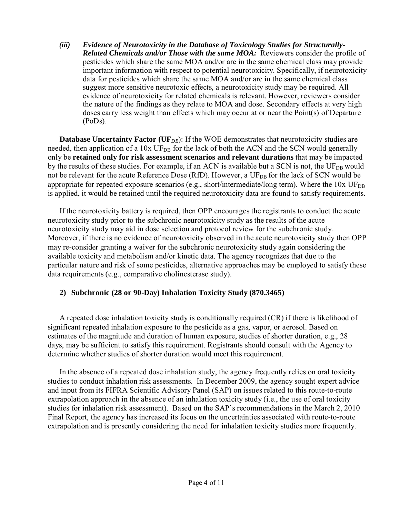*(iii) Evidence of Neurotoxicity in the Database of Toxicology Studies for Structurally-Related Chemicals and/or Those with the same MOA:* Reviewers consider the profile of pesticides which share the same MOA and/or are in the same chemical class may provide important information with respect to potential neurotoxicity. Specifically, if neurotoxicity data for pesticides which share the same MOA and/or are in the same chemical class suggest more sensitive neurotoxic effects, a neurotoxicity study may be required. All evidence of neurotoxicity for related chemicals is relevant. However, reviewers consider the nature of the findings as they relate to MOA and dose. Secondary effects at very high doses carry less weight than effects which may occur at or near the Point(s) of Departure (PoDs).

**Database Uncertainty Factor** (UF<sub>*DB*</sub>): If the WOE demonstrates that neurotoxicity studies are needed, then application of a 10x UF<sub>DB</sub> for the lack of both the ACN and the SCN would generally only be **retained only for risk assessment scenarios and relevant durations** that may be impacted by the results of these studies. For example, if an ACN is available but a SCN is not, the UF<sub>DB</sub> would not be relevant for the acute Reference Dose (RfD). However, a UF<sub>DB</sub> for the lack of SCN would be appropriate for repeated exposure scenarios (e.g., short/intermediate/long term). Where the  $10x \text{ UF}_{DB}$ is applied, it would be retained until the required neurotoxicity data are found to satisfy requirements.

If the neurotoxicity battery is required, then OPP encourages the registrants to conduct the acute neurotoxicity study prior to the subchronic neurotoxicity study as the results of the acute neurotoxicity study may aid in dose selection and protocol review for the subchronic study. Moreover, if there is no evidence of neurotoxicity observed in the acute neurotoxicity study then OPP may re-consider granting a waiver for the subchronic neurotoxicity study again considering the available toxicity and metabolism and/or kinetic data. The agency recognizes that due to the particular nature and risk of some pesticides, alternative approaches may be employed to satisfy these data requirements (e.g., comparative cholinesterase study).

### **2) Subchronic (28 or 90-Day) Inhalation Toxicity Study (870.3465)**

A repeated dose inhalation toxicity study is conditionally required (CR) if there is likelihood of significant repeated inhalation exposure to the pesticide as a gas, vapor, or aerosol. Based on estimates of the magnitude and duration of human exposure, studies of shorter duration, e.g., 28 days, may be sufficient to satisfy this requirement. Registrants should consult with the Agency to determine whether studies of shorter duration would meet this requirement.

In the absence of a repeated dose inhalation study, the agency frequently relies on oral toxicity studies to conduct inhalation risk assessments. In December 2009, the agency sought expert advice and input from its FIFRA Scientific Advisory Panel (SAP) on issues related to this route-to-route extrapolation approach in the absence of an inhalation toxicity study (i.e., the use of oral toxicity studies for inhalation risk assessment). Based on the SAP's recommendations in the March 2, 2010 Final Report, the agency has increased its focus on the uncertainties associated with route-to-route extrapolation and is presently considering the need for inhalation toxicity studies more frequently.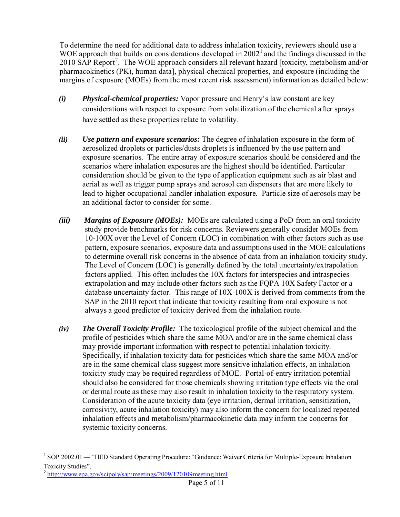To determine the need for additional data to address inhalation toxicity, reviewers should use a WOE approach that builds on considerations developed in  $2002<sup>1</sup>$  and the findings discussed in the 2010 SAP Report<sup>2</sup>. The WOE approach considers all relevant hazard [toxicity, metabolism and/or pharmacokinetics (PK), human data], physical-chemical properties, and exposure (including the margins of exposure (MOEs) from the most recent risk assessment) information as detailed below:

- *(i) Physical-chemical properties:* Vapor pressure and Henry's law constant are key considerations with respect to exposure from volatilization of the chemical after sprays have settled as these properties relate to volatility.
- *(ii) Use pattern and exposure scenarios:* The degree of inhalation exposure in the form of aerosolized droplets or particles/dusts droplets is influenced by the use pattern and exposure scenarios. The entire array of exposure scenarios should be considered and the scenarios where inhalation exposures are the highest should be identified. Particular consideration should be given to the type of application equipment such as air blast and aerial as well as trigger pump sprays and aerosol can dispensers that are more likely to lead to higher occupational handler inhalation exposure. Particle size of aerosols may be an additional factor to consider for some.
- *(iii) Margins of Exposure (MOEs):* MOEs are calculated using a PoD from an oral toxicity study provide benchmarks for risk concerns. Reviewers generally consider MOEs from 10-100X over the Level of Concern (LOC) in combination with other factors such as use pattern, exposure scenarios, exposure data and assumptions used in the MOE calculations to determine overall risk concerns in the absence of data from an inhalation toxicity study. The Level of Concern (LOC) is generally defined by the total uncertainty/extrapolation factors applied. This often includes the 10X factors for interspecies and intraspecies extrapolation and may include other factors such as the FQPA 10X Safety Factor or a database uncertainty factor. This range of 10X-100X is derived from comments from the SAP in the 2010 report that indicate that toxicity resulting from oral exposure is not always a good predictor of toxicity derived from the inhalation route.
- *(iv) The Overall Toxicity Profile:* The toxicological profile of the subject chemical and the profile of pesticides which share the same MOA and/or are in the same chemical class may provide important information with respect to potential inhalation toxicity. Specifically, if inhalation toxicity data for pesticides which share the same MOA and/or are in the same chemical class suggest more sensitive inhalation effects, an inhalation toxicity study may be required regardless of MOE. Portal-of-entry irritation potential should also be considered for those chemicals showing irritation type effects via the oral or dermal route as these may also result in inhalation toxicity to the respiratory system. Consideration of the acute toxicity data (eye irritation, dermal irritation, sensitization, corrosivity, acute inhalation toxicity) may also inform the concern for localized repeated inhalation effects and metabolism/pharmacokinetic data may inform the concerns for systemic toxicity concerns.

 $\ddot{\phantom{a}}$ 

<sup>&</sup>lt;sup>1</sup> SOP 2002.01 — "HED Standard Operating Procedure: "Guidance: Waiver Criteria for Multiple-Exposure Inhalation Toxicity Studies".

<sup>&</sup>lt;sup>2</sup> <http://www.epa.gov/scipoly/sap/meetings/2009/120109meeting.html>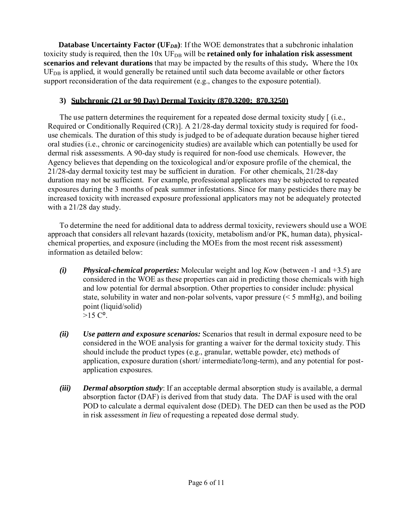**Database Uncertainty Factor (UF<sub>DB</sub>**): If the WOE demonstrates that a subchronic inhalation toxicity study is required, then the 10x UF<sub>DB</sub> will be **retained only for inhalation risk assessment scenarios and relevant durations** that may be impacted by the results of this study**.** Where the 10x  $UF<sub>DB</sub>$  is applied, it would generally be retained until such data become available or other factors support reconsideration of the data requirement (e.g., changes to the exposure potential).

## **3) Subchronic (21 or 90 Day) Dermal Toxicity (870.3200; 870.3250)**

The use pattern determines the requirement for a repeated dose dermal toxicity study  $[$  (i.e., Required or Conditionally Required (CR)]. A 21/28-day dermal toxicity study is required for fooduse chemicals. The duration of this study is judged to be of adequate duration because higher tiered oral studies (i.e., chronic or carcinogenicity studies) are available which can potentially be used for dermal risk assessments. A 90-day study is required for non-food use chemicals. However, the Agency believes that depending on the toxicological and/or exposure profile of the chemical, the 21/28-day dermal toxicity test may be sufficient in duration. For other chemicals, 21/28-day duration may not be sufficient. For example, professional applicators may be subjected to repeated exposures during the 3 months of peak summer infestations. Since for many pesticides there may be increased toxicity with increased exposure professional applicators may not be adequately protected with a 21/28 day study.

To determine the need for additional data to address dermal toxicity, reviewers should use a WOE approach that considers all relevant hazards (toxicity, metabolism and/or PK, human data), physicalchemical properties, and exposure (including the MOEs from the most recent risk assessment) information as detailed below:

- *(i) Physical-chemical properties:* Molecular weight and log *K*ow (between -1 and +3.5) are considered in the WOE as these properties can aid in predicting those chemicals with high and low potential for dermal absorption. Other properties to consider include: physical state, solubility in water and non-polar solvents, vapor pressure (< 5 mmHg), and boiling point (liquid/solid)  $>15 C<sup>o</sup>$ .
- *(ii) Use pattern and exposure scenarios:* Scenarios that result in dermal exposure need to be considered in the WOE analysis for granting a waiver for the dermal toxicity study. This should include the product types (e.g., granular, wettable powder, etc) methods of application, exposure duration (short/ intermediate/long-term), and any potential for postapplication exposures.
- *(iii) Dermal absorption study*: If an acceptable dermal absorption study is available, a dermal absorption factor (DAF) is derived from that study data. The DAF is used with the oral POD to calculate a dermal equivalent dose (DED). The DED can then be used as the POD in risk assessment *in lieu* of requesting a repeated dose dermal study.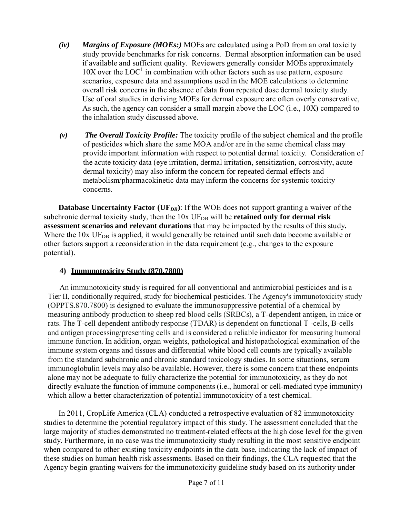- *(iv) Margins of Exposure (MOEs:)* MOEs are calculated using a PoD from an oral toxicity study provide benchmarks for risk concerns. Dermal absorption information can be used if available and sufficient quality. Reviewers generally consider MOEs approximately  $10X$  over the  $LOC<sup>1</sup>$  in combination with other factors such as use pattern, exposure scenarios, exposure data and assumptions used in the MOE calculations to determine overall risk concerns in the absence of data from repeated dose dermal toxicity study. Use of oral studies in deriving MOEs for dermal exposure are often overly conservative, As such, the agency can consider a small margin above the LOC (i.e., 10X) compared to the inhalation study discussed above.
- *(v) The Overall Toxicity Profile:* The toxicity profile of the subject chemical and the profile of pesticides which share the same MOA and/or are in the same chemical class may provide important information with respect to potential dermal toxicity. Consideration of the acute toxicity data (eye irritation, dermal irritation, sensitization, corrosivity, acute dermal toxicity) may also inform the concern for repeated dermal effects and metabolism/pharmacokinetic data may inform the concerns for systemic toxicity concerns.

**Database Uncertainty Factor** (UF<sub>*DB*</sub>): If the WOE does not support granting a waiver of the subchronic dermal toxicity study, then the  $10x$  UF<sub>DB</sub> will be **retained only for dermal risk assessment scenarios and relevant durations** that may be impacted by the results of this study**.**  Where the  $10x UF<sub>DB</sub>$  is applied, it would generally be retained until such data become available or other factors support a reconsideration in the data requirement (e.g., changes to the exposure potential).

### **4) Immunotoxicity Study (870.7800)**

An immunotoxicity study is required for all conventional and antimicrobial pesticides and is a Tier II, conditionally required, study for biochemical pesticides. The Agency's immunotoxicity study (OPPTS.870.7800) is designed to evaluate the immunosuppressive potential of a chemical by measuring antibody production to sheep red blood cells (SRBCs), a T-dependent antigen, in mice or rats. The T-cell dependent antibody response (TDAR) is dependent on functional T -cells, B-cells and antigen processing/presenting cells and is considered a reliable indicator for measuring humoral immune function. In addition, organ weights, pathological and histopathological examination of the immune system organs and tissues and differential white blood cell counts are typically available from the standard subchronic and chronic standard toxicology studies. In some situations, serum immunoglobulin levels may also be available. However, there is some concern that these endpoints alone may not be adequate to fully characterize the potential for immunotoxicity, as they do not directly evaluate the function of immune components (i.e., humoral or cell-mediated type immunity) which allow a better characterization of potential immunotoxicity of a test chemical.

In 2011, CropLife America (CLA) conducted a retrospective evaluation of 82 immunotoxicity studies to determine the potential regulatory impact of this study. The assessment concluded that the large majority of studies demonstrated no treatment-related effects at the high dose level for the given study. Furthermore, in no case was the immunotoxicity study resulting in the most sensitive endpoint when compared to other existing toxicity endpoints in the data base, indicating the lack of impact of these studies on human health risk assessments. Based on their findings, the CLA requested that the Agency begin granting waivers for the immunotoxicity guideline study based on its authority under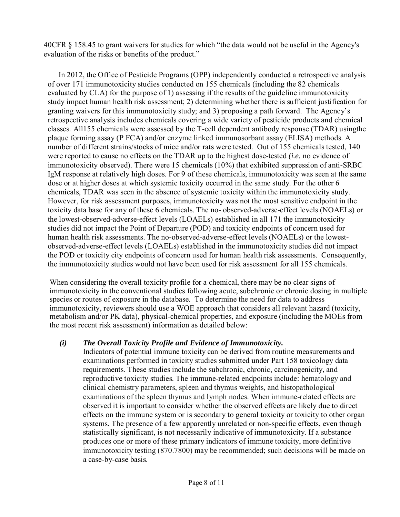40CFR § 158.45 to grant waivers for studies for which "the data would not be useful in the Agency's evaluation of the risks or benefits of the product."

In 2012, the Office of Pesticide Programs (OPP) independently conducted a retrospective analysis of over 171 immunotoxicity studies conducted on 155 chemicals (including the 82 chemicals evaluated by CLA) for the purpose of 1) assessing if the results of the guideline immunotoxicity study impact human health risk assessment; 2) determining whether there is sufficient justification for granting waivers for this immunotoxicity study; and 3) proposing a path forward. The Agency's retrospective analysis includes chemicals covering a wide variety of pesticide products and chemical classes. All155 chemicals were assessed by the T-cell dependent antibody response (TDAR) usingthe plaque forming assay (P FCA) and/or enzyme linked immunosorbant assay (ELISA) methods. A number of different strains/stocks of mice and/or rats were tested. Out of 155 chemicals tested, 140 were reported to cause no effects on the TDAR up to the highest dose-tested *(i.e.* no evidence of immunotoxicity observed). There were 15 chemicals (10%) that exhibited suppression of anti-SRBC IgM response at relatively high doses. For 9 of these chemicals, immunotoxicity was seen at the same dose or at higher doses at which systemic toxicity occurred in the same study. For the other 6 chemicals, TDAR was seen in the absence of systemic toxicity within the immunotoxicity study. However, for risk assessment purposes, immunotoxicity was not the most sensitive endpoint in the toxicity data base for any of these 6 chemicals. The no- observed-adverse-effect levels (NOAELs) or the lowest-observed-adverse-effect levels (LOAELs) established in all 171 the immunotoxicity studies did not impact the Point of Departure (POD) and toxicity endpoints of concern used for human health risk assessments. The no-observed-adverse-effect levels (NOAELs) or the lowestobserved-adverse-effect levels (LOAELs) established in the immunotoxicity studies did not impact the POD or toxicity city endpoints of concern used for human health risk assessments. Consequently, the immunotoxicity studies would not have been used for risk assessment for all 155 chemicals.

When considering the overall toxicity profile for a chemical, there may be no clear signs of immunotoxicity in the conventional studies following acute, subchronic or chronic dosing in multiple species or routes of exposure in the database. To determine the need for data to address immunotoxicity, reviewers should use a WOE approach that considers all relevant hazard (toxicity, metabolism and/or PK data), physical-chemical properties, and exposure (including the MOEs from the most recent risk assessment) information as detailed below:

### *(i) The Overall Toxicity Profile and Evidence of Immunotoxicity.*

Indicators of potential immune toxicity can be derived from routine measurements and examinations performed in toxicity studies submitted under Part 158 toxicology data requirements. These studies include the subchronic, chronic, carcinogenicity, and reproductive toxicity studies. The immune-related endpoints include: hematology and clinical chemistry parameters, spleen and thymus weights, and histopathological examinations of the spleen thymus and lymph nodes. When immune-related effects are observed it is important to consider whether the observed effects are likely due to direct effects on the immune system or is secondary to general toxicity or toxicity to other organ systems. The presence of a few apparently unrelated or non-specific effects, even though statistically significant, is not necessarily indicative of immunotoxicity. If a substance produces one or more of these primary indicators of immune toxicity, more definitive immunotoxicity testing (870.7800) may be recommended; such decisions will be made on a case-by-case basis.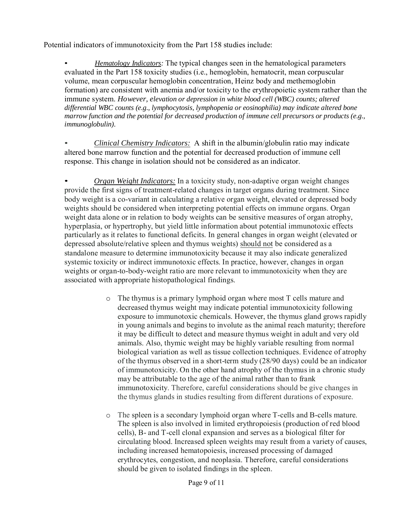Potential indicators of immunotoxicity from the Part 158 studies include:

• *Hematology Indicators:* The typical changes seen in the hematological parameters evaluated in the Part 158 toxicity studies (i.e., hemoglobin, hematocrit, mean corpuscular volume, mean corpuscular hemoglobin concentration, Heinz body and methemoglobin formation) are consistent with anemia and/or toxicity to the erythropoietic system rather than the immune system. *However, elevation or depression in white blood cell (WBC) counts; altered differential WBC counts (e.g., lymphocytosis, lymphopenia or eosinophilia) may indicate altered bone marrow function and the potential for decreased production of immune cell precursors or products (e.g., immunoglobulin).*

• *Clinical Chemistry Indicators:* A shift in the albumin/globulin ratio may indicate altered bone marrow function and the potential for decreased production of immune cell response. This change in isolation should not be considered as an indicator.

• *Organ Weight Indicators:* In a toxicity study, non-adaptive organ weight changes provide the first signs of treatment-related changes in target organs during treatment. Since body weight is a co-variant in calculating a relative organ weight, elevated or depressed body weights should be considered when interpreting potential effects on immune organs. Organ weight data alone or in relation to body weights can be sensitive measures of organ atrophy, hyperplasia, or hypertrophy, but yield little information about potential immunotoxic effects particularly as it relates to functional deficits. In general changes in organ weight (elevated or depressed absolute/relative spleen and thymus weights) should not be considered as a standalone measure to determine immunotoxicity because it may also indicate generalized systemic toxicity or indirect immunotoxic effects. In practice, however, changes in organ weights or organ-to-body-weight ratio are more relevant to immunotoxicity when they are associated with appropriate histopathological findings.

- o The thymus is a primary lymphoid organ where most T cells mature and decreased thymus weight may indicate potential immunotoxicity following exposure to immunotoxic chemicals. However, the thymus gland grows rapidly in young animals and begins to involute as the animal reach maturity; therefore it may be difficult to detect and measure thymus weight in adult and very old animals. Also, thymic weight may be highly variable resulting from normal biological variation as well as tissue collection techniques. Evidence of atrophy of the thymus observed in a short-term study (28/90 days) could be an indicator of immunotoxicity. On the other hand atrophy of the thymus in a chronic study may be attributable to the age of the animal rather than to frank immunotoxicity. Therefore, careful considerations should be give changes in the thymus glands in studies resulting from different durations of exposure.
- o The spleen is a secondary lymphoid organ where T-cells and B-cells mature. The spleen is also involved in limited erythropoiesis (production of red blood cells), B- and T-cell clonal expansion and serves as a biological filter for circulating blood. Increased spleen weights may result from a variety of causes, including increased hematopoiesis, increased processing of damaged erythrocytes, congestion, and neoplasia. Therefore, careful considerations should be given to isolated findings in the spleen.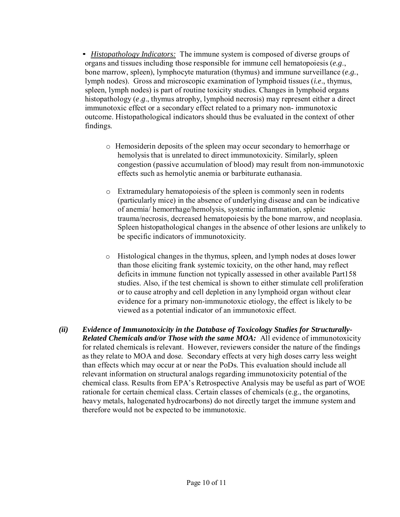• *Histopathology Indicators:* The immune system is composed of diverse groups of organs and tissues including those responsible for immune cell hematopoiesis (*e.g*., bone marrow, spleen), lymphocyte maturation (thymus) and immune surveillance (*e.g.*, lymph nodes). Gross and microscopic examination of lymphoid tissues (*i.e*., thymus, spleen, lymph nodes) is part of routine toxicity studies. Changes in lymphoid organs histopathology (*e*.*g*., thymus atrophy, lymphoid necrosis) may represent either a direct immunotoxic effect or a secondary effect related to a primary non- immunotoxic outcome. Histopathological indicators should thus be evaluated in the context of other findings.

- o Hemosiderin deposits of the spleen may occur secondary to hemorrhage or hemolysis that is unrelated to direct immunotoxicity*.* Similarly, spleen congestion (passive accumulation of blood) may result from non-immunotoxic effects such as hemolytic anemia or barbiturate euthanasia.
- o Extramedulary hematopoiesis of the spleen is commonly seen in rodents (particularly mice) in the absence of underlying disease and can be indicative of anemia/ hemorrhage/hemolysis, systemic inflammation, splenic trauma/necrosis, decreased hematopoiesis by the bone marrow, and neoplasia. Spleen histopathological changes in the absence of other lesions are unlikely to be specific indicators of immunotoxicity.
- o Histological changes in the thymus, spleen, and lymph nodes at doses lower than those eliciting frank systemic toxicity, on the other hand, may reflect deficits in immune function not typically assessed in other available Part158 studies. Also, if the test chemical is shown to either stimulate cell proliferation or to cause atrophy and cell depletion in any lymphoid organ without clear evidence for a primary non-immunotoxic etiology, the effect is likely to be viewed as a potential indicator of an immunotoxic effect.
- *(ii) Evidence of Immunotoxicity in the Database of Toxicology Studies for Structurally-Related Chemicals and/or Those with the same MOA:* All evidence of immunotoxicity for related chemicals is relevant. However, reviewers consider the nature of the findings as they relate to MOA and dose. Secondary effects at very high doses carry less weight than effects which may occur at or near the PoDs. This evaluation should include all relevant information on structural analogs regarding immunotoxicity potential of the chemical class. Results from EPA's Retrospective Analysis may be useful as part of WOE rationale for certain chemical class. Certain classes of chemicals (e.g., the organotins, heavy metals, halogenated hydrocarbons) do not directly target the immune system and therefore would not be expected to be immunotoxic.